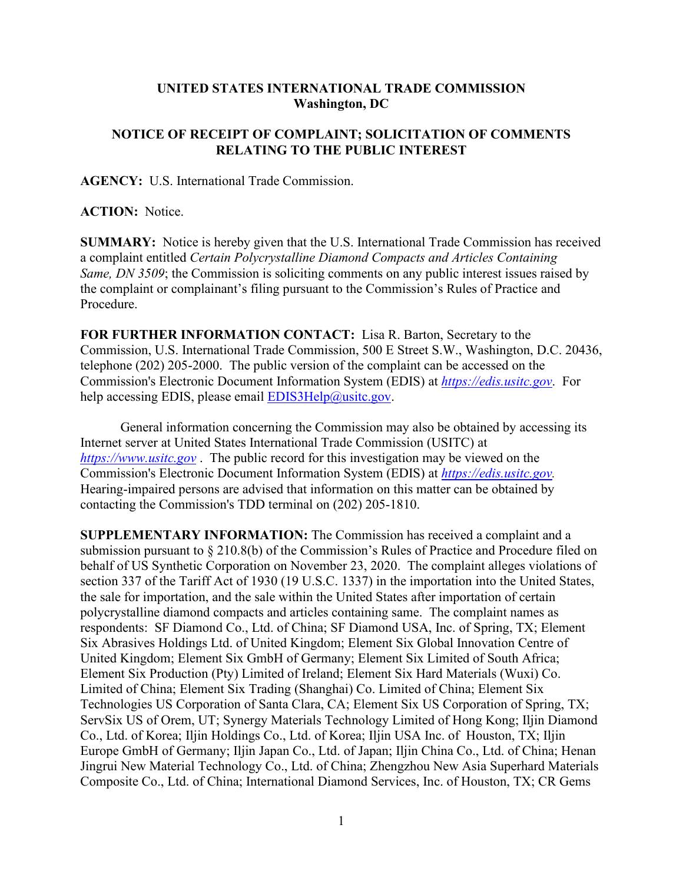## **UNITED STATES INTERNATIONAL TRADE COMMISSION Washington, DC**

## **NOTICE OF RECEIPT OF COMPLAINT; SOLICITATION OF COMMENTS RELATING TO THE PUBLIC INTEREST**

**AGENCY:** U.S. International Trade Commission.

**ACTION:** Notice.

**SUMMARY:** Notice is hereby given that the U.S. International Trade Commission has received a complaint entitled *Certain Polycrystalline Diamond Compacts and Articles Containing Same, DN 3509*; the Commission is soliciting comments on any public interest issues raised by the complaint or complainant's filing pursuant to the Commission's Rules of Practice and Procedure.

**FOR FURTHER INFORMATION CONTACT:** Lisa R. Barton, Secretary to the Commission, U.S. International Trade Commission, 500 E Street S.W., Washington, D.C. 20436, telephone (202) 205-2000. The public version of the complaint can be accessed on the Commission's Electronic Document Information System (EDIS) at *[https://edis.usitc.gov](https://edis.usitc.gov/)*. For help accessing EDIS, please email  $EDIS3Help@usite.gov$ .

General information concerning the Commission may also be obtained by accessing its Internet server at United States International Trade Commission (USITC) at *[https://www.usitc.gov](https://www.usitc.gov/)* . The public record for this investigation may be viewed on the Commission's Electronic Document Information System (EDIS) at *[https://edis.usitc.gov.](https://edis.usitc.gov/)* Hearing-impaired persons are advised that information on this matter can be obtained by contacting the Commission's TDD terminal on (202) 205-1810.

**SUPPLEMENTARY INFORMATION:** The Commission has received a complaint and a submission pursuant to § 210.8(b) of the Commission's Rules of Practice and Procedure filed on behalf of US Synthetic Corporation on November 23, 2020. The complaint alleges violations of section 337 of the Tariff Act of 1930 (19 U.S.C. 1337) in the importation into the United States, the sale for importation, and the sale within the United States after importation of certain polycrystalline diamond compacts and articles containing same. The complaint names as respondents: SF Diamond Co., Ltd. of China; SF Diamond USA, Inc. of Spring, TX; Element Six Abrasives Holdings Ltd. of United Kingdom; Element Six Global Innovation Centre of United Kingdom; Element Six GmbH of Germany; Element Six Limited of South Africa; Element Six Production (Pty) Limited of Ireland; Element Six Hard Materials (Wuxi) Co. Limited of China; Element Six Trading (Shanghai) Co. Limited of China; Element Six Technologies US Corporation of Santa Clara, CA; Element Six US Corporation of Spring, TX; ServSix US of Orem, UT; Synergy Materials Technology Limited of Hong Kong; Iljin Diamond Co., Ltd. of Korea; Iljin Holdings Co., Ltd. of Korea; Iljin USA Inc. of Houston, TX; Iljin Europe GmbH of Germany; Iljin Japan Co., Ltd. of Japan; Iljin China Co., Ltd. of China; Henan Jingrui New Material Technology Co., Ltd. of China; Zhengzhou New Asia Superhard Materials Composite Co., Ltd. of China; International Diamond Services, Inc. of Houston, TX; CR Gems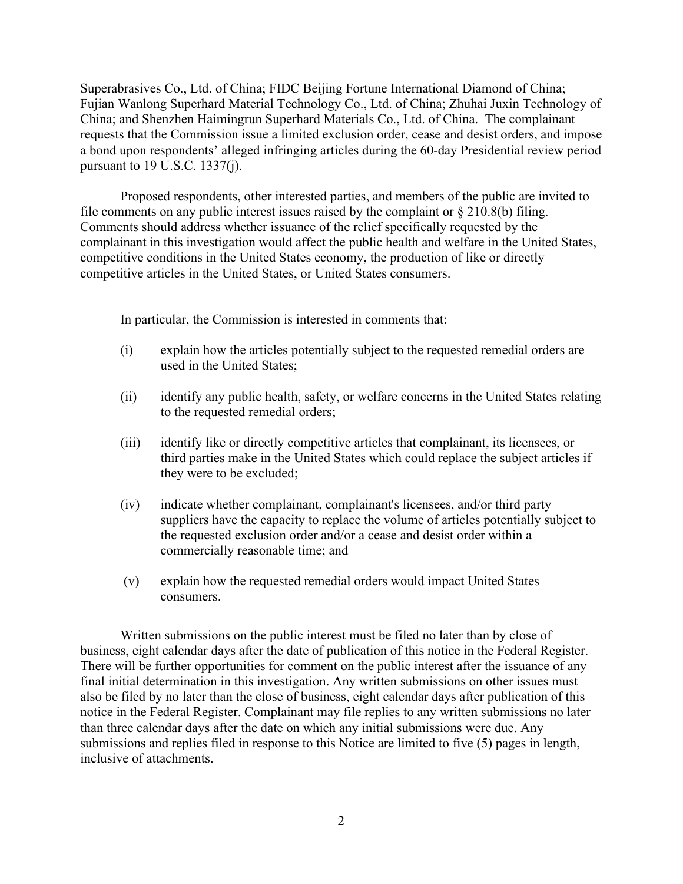Superabrasives Co., Ltd. of China; FIDC Beijing Fortune International Diamond of China; Fujian Wanlong Superhard Material Technology Co., Ltd. of China; Zhuhai Juxin Technology of China; and Shenzhen Haimingrun Superhard Materials Co., Ltd. of China. The complainant requests that the Commission issue a limited exclusion order, cease and desist orders, and impose a bond upon respondents' alleged infringing articles during the 60-day Presidential review period pursuant to 19 U.S.C. 1337(j).

Proposed respondents, other interested parties, and members of the public are invited to file comments on any public interest issues raised by the complaint or  $\S 210.8(b)$  filing. Comments should address whether issuance of the relief specifically requested by the complainant in this investigation would affect the public health and welfare in the United States, competitive conditions in the United States economy, the production of like or directly competitive articles in the United States, or United States consumers.

In particular, the Commission is interested in comments that:

- (i) explain how the articles potentially subject to the requested remedial orders are used in the United States;
- (ii) identify any public health, safety, or welfare concerns in the United States relating to the requested remedial orders;
- (iii) identify like or directly competitive articles that complainant, its licensees, or third parties make in the United States which could replace the subject articles if they were to be excluded;
- (iv) indicate whether complainant, complainant's licensees, and/or third party suppliers have the capacity to replace the volume of articles potentially subject to the requested exclusion order and/or a cease and desist order within a commercially reasonable time; and
- (v) explain how the requested remedial orders would impact United States consumers.

Written submissions on the public interest must be filed no later than by close of business, eight calendar days after the date of publication of this notice in the Federal Register. There will be further opportunities for comment on the public interest after the issuance of any final initial determination in this investigation. Any written submissions on other issues must also be filed by no later than the close of business, eight calendar days after publication of this notice in the Federal Register. Complainant may file replies to any written submissions no later than three calendar days after the date on which any initial submissions were due. Any submissions and replies filed in response to this Notice are limited to five (5) pages in length, inclusive of attachments.